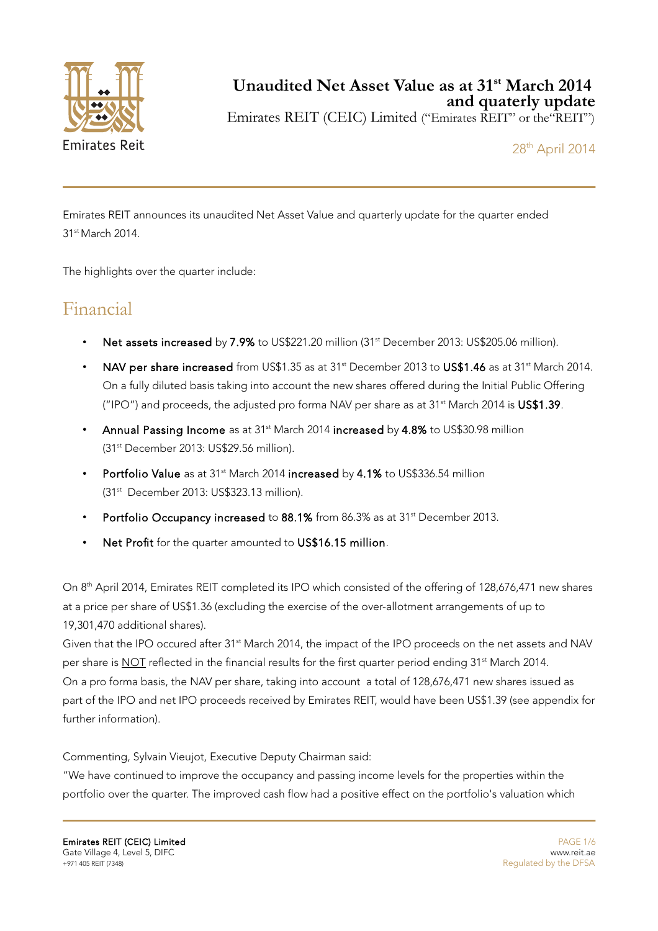

## **Unaudited Net Asset Value as at 31st March 2014 and quaterly update**

Emirates REIT (CEIC) Limited ("Emirates REIT" or the"REIT")

28th April 2014

Emirates REIT announces its unaudited Net Asset Value and quarterly update for the quarter ended 31<sup>st</sup> March 2014.

The highlights over the quarter include:

# Financial

- Net assets increased by 7.9% to US\$221.20 million (31<sup>st</sup> December 2013: US\$205.06 million).
- NAV per share increased from US\$1.35 as at 31<sup>st</sup> December 2013 to US\$1.46 as at 31<sup>st</sup> March 2014. On a fully diluted basis taking into account the new shares offered during the Initial Public Offering ("IPO") and proceeds, the adjusted pro forma NAV per share as at  $31<sup>st</sup>$  March 2014 is US\$1.39.
- Annual Passing Income as at 31<sup>st</sup> March 2014 increased by 4.8% to US\$30.98 million (31st December 2013: US\$29.56 million).
- Portfolio Value as at 31<sup>st</sup> March 2014 increased by 4.1% to US\$336.54 million (31st December 2013: US\$323.13 million).
- Portfolio Occupancy increased to 88.1% from 86.3% as at 31<sup>st</sup> December 2013.
- Net Profit for the quarter amounted to US\$16.15 million.

On 8th April 2014, Emirates REIT completed its IPO which consisted of the offering of 128,676,471 new shares at a price per share of US\$1.36 (excluding the exercise of the over-allotment arrangements of up to 19,301,470 additional shares).

Given that the IPO occured after 31<sup>st</sup> March 2014, the impact of the IPO proceeds on the net assets and NAV per share is NOT reflected in the financial results for the first quarter period ending 31<sup>st</sup> March 2014. On a pro forma basis, the NAV per share, taking into account a total of 128,676,471 new shares issued as part of the IPO and net IPO proceeds received by Emirates REIT, would have been US\$1.39 (see appendix for further information).

Commenting, Sylvain Vieujot, Executive Deputy Chairman said:

"We have continued to improve the occupancy and passing income levels for the properties within the portfolio over the quarter. The improved cash flow had a positive effect on the portfolio's valuation which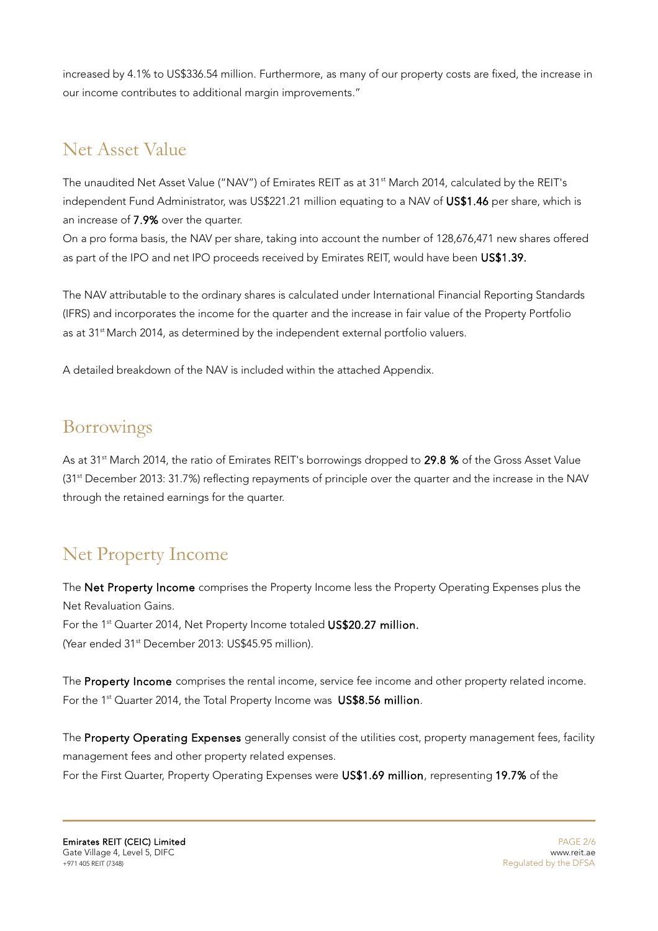increased by 4.1% to US\$336.54 million. Furthermore, as many of our property costs are fixed, the increase in our income contributes to additional margin improvements."

# Net Asset Value

The unaudited Net Asset Value ("NAV") of Emirates REIT as at 31<sup>st</sup> March 2014, calculated by the REIT's independent Fund Administrator, was US\$221.21 million equating to a NAV of US\$1.46 per share, which is an increase of 7.9% over the quarter.

On a pro forma basis, the NAV per share, taking into account the number of 128,676,471 new shares offered as part of the IPO and net IPO proceeds received by Emirates REIT, would have been US\$1.39.

The NAV attributable to the ordinary shares is calculated under International Financial Reporting Standards (IFRS) and incorporates the income for the quarter and the increase in fair value of the Property Portfolio as at 31<sup>st</sup> March 2014, as determined by the independent external portfolio valuers.

A detailed breakdown of the NAV is included within the attached Appendix.

## Borrowings

As at 31<sup>st</sup> March 2014, the ratio of Emirates REIT's borrowings dropped to 29.8 % of the Gross Asset Value (31st December 2013: 31.7%) reflecting repayments of principle over the quarter and the increase in the NAV through the retained earnings for the quarter.

# Net Property Income

The Net Property Income comprises the Property Income less the Property Operating Expenses plus the Net Revaluation Gains. For the 1<sup>st</sup> Quarter 2014, Net Property Income totaled US\$20.27 million. (Year ended 31<sup>st</sup> December 2013: US\$45.95 million).

The Property Income comprises the rental income, service fee income and other property related income. For the 1<sup>st</sup> Quarter 2014, the Total Property Income was US\$8.56 million.

The Property Operating Expenses generally consist of the utilities cost, property management fees, facility management fees and other property related expenses. For the First Quarter, Property Operating Expenses were US\$1.69 million, representing 19.7% of the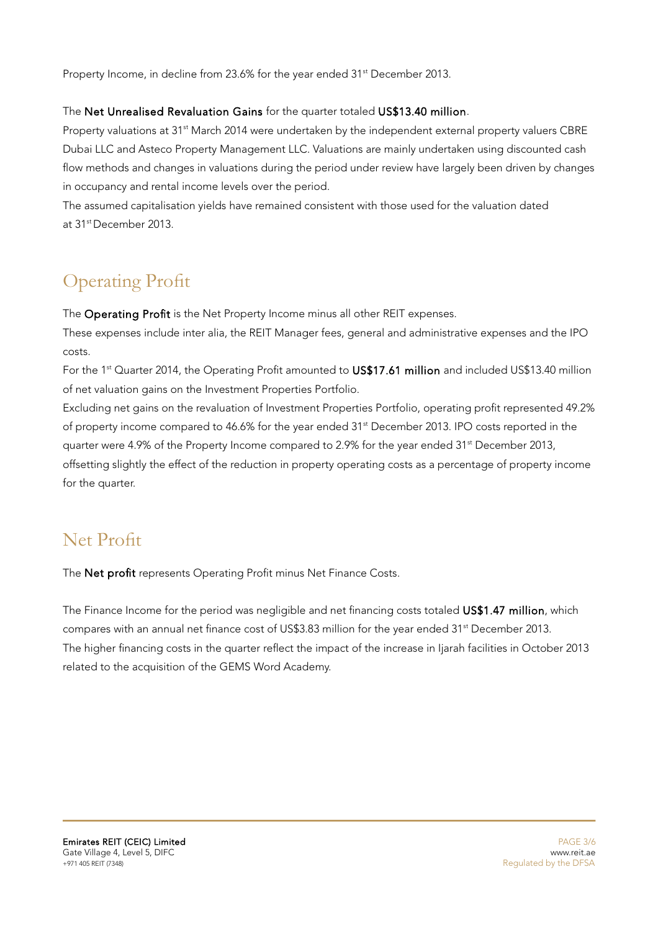Property Income, in decline from 23.6% for the year ended 31<sup>st</sup> December 2013.

#### The Net Unrealised Revaluation Gains for the quarter totaled US\$13.40 million.

Property valuations at 31<sup>st</sup> March 2014 were undertaken by the independent external property valuers CBRE Dubai LLC and Asteco Property Management LLC. Valuations are mainly undertaken using discounted cash flow methods and changes in valuations during the period under review have largely been driven by changes in occupancy and rental income levels over the period.

The assumed capitalisation yields have remained consistent with those used for the valuation dated at 31stDecember 2013.

# Operating Profit

The Operating Profit is the Net Property Income minus all other REIT expenses.

These expenses include inter alia, the REIT Manager fees, general and administrative expenses and the IPO costs.

For the 1<sup>st</sup> Quarter 2014, the Operating Profit amounted to US\$17.61 million and included US\$13.40 million of net valuation gains on the Investment Properties Portfolio.

Excluding net gains on the revaluation of Investment Properties Portfolio, operating profit represented 49.2% of property income compared to 46.6% for the year ended 31<sup>st</sup> December 2013. IPO costs reported in the quarter were 4.9% of the Property Income compared to 2.9% for the year ended 31<sup>st</sup> December 2013, offsetting slightly the effect of the reduction in property operating costs as a percentage of property income for the quarter.

# Net Profit

The Net profit represents Operating Profit minus Net Finance Costs.

The Finance Income for the period was negligible and net financing costs totaled US\$1.47 million, which compares with an annual net finance cost of US\$3.83 million for the year ended 31<sup>st</sup> December 2013. The higher financing costs in the quarter reflect the impact of the increase in Ijarah facilities in October 2013 related to the acquisition of the GEMS Word Academy.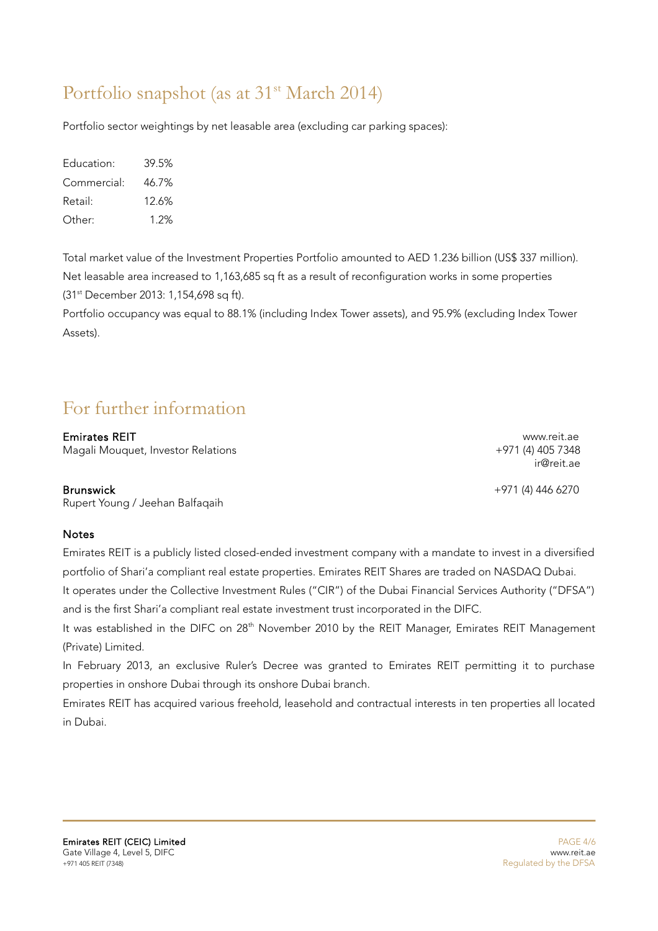# Portfolio snapshot (as at 31<sup>st</sup> March 2014)

Portfolio sector weightings by net leasable area (excluding car parking spaces):

| Education:  | 39.5% |
|-------------|-------|
| Commercial: | 46.7% |
| Retail:     | 12.6% |
| Other:      | 1 2%  |

Total market value of the Investment Properties Portfolio amounted to AED 1.236 billion (US\$ 337 million). Net leasable area increased to 1,163,685 sq ft as a result of reconfiguration works in some properties (31st December 2013: 1,154,698 sq ft).

Portfolio occupancy was equal to 88.1% (including Index Tower assets), and 95.9% (excluding Index Tower Assets).

# For further information

Emirates REIT<br>Maqali Mouquet, Investor Relations<br>Herodic Hotel House House Hours (4) 405 7348 Magali Mouquet, Investor Relations

#### Brunswick +971 (4) 446 6270

Rupert Young / Jeehan Balfaqaih

#### **Notes**

Emirates REIT is a publicly listed closed-ended investment company with a mandate to invest in a diversified portfolio of Shari'a compliant real estate properties. Emirates REIT Shares are traded on NASDAQ Dubai.

It operates under the Collective Investment Rules ("CIR") of the Dubai Financial Services Authority ("DFSA") and is the first Shari'a compliant real estate investment trust incorporated in the DIFC.

It was established in the DIFC on 28<sup>th</sup> November 2010 by the REIT Manager, Emirates REIT Management (Private) Limited.

In February 2013, an exclusive Ruler's Decree was granted to Emirates REIT permitting it to purchase properties in onshore Dubai through its onshore Dubai branch.

Emirates REIT has acquired various freehold, leasehold and contractual interests in ten properties all located in Dubai.

ir@reit.ae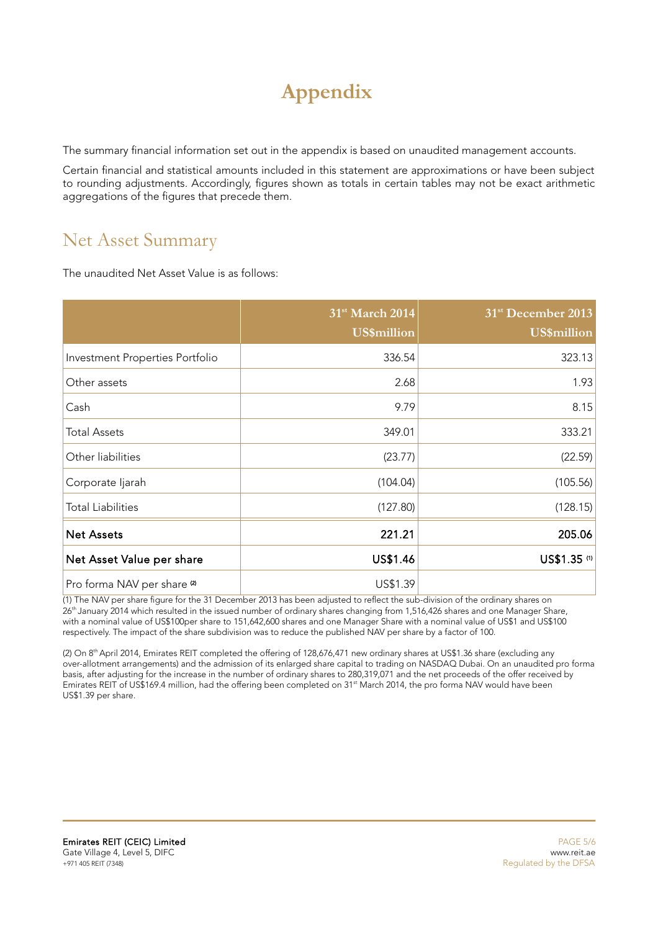# **Appendix**

The summary financial information set out in the appendix is based on unaudited management accounts.

Certain financial and statistical amounts included in this statement are approximations or have been subject to rounding adjustments. Accordingly, figures shown as totals in certain tables may not be exact arithmetic aggregations of the figures that precede them.

## Net Asset Summary

The unaudited Net Asset Value is as follows:

|                                        | 31 <sup>st</sup> March 2014<br><b>US\$million</b> | 31 <sup>st</sup> December 2013<br><b>US\$million</b> |
|----------------------------------------|---------------------------------------------------|------------------------------------------------------|
| Investment Properties Portfolio        | 336.54                                            | 323.13                                               |
| Other assets                           | 2.68                                              | 1.93                                                 |
| Cash                                   | 9.79                                              | 8.15                                                 |
| <b>Total Assets</b>                    | 349.01                                            | 333.21                                               |
| Other liabilities                      | (23.77)                                           | (22.59)                                              |
| Corporate ljarah                       | (104.04)                                          | (105.56)                                             |
| <b>Total Liabilities</b>               | (127.80)                                          | (128.15)                                             |
| <b>Net Assets</b>                      | 221.21                                            | 205.06                                               |
| Net Asset Value per share              | US\$1.46                                          | US\$1.35 (1)                                         |
| Pro forma NAV per share <sup>(2)</sup> | US\$1.39                                          |                                                      |

 $(1)$  The NAV per share figure for the 31 December 2013 has been adjusted to reflect the sub-division of the ordinary shares on 26<sup>th</sup> January 2014 which resulted in the issued number of ordinary shares changing from 1,516,426 shares and one Manager Share, with a nominal value of US\$100per share to 151,642,600 shares and one Manager Share with a nominal value of US\$1 and US\$100 respectively. The impact of the share subdivision was to reduce the published NAV per share by a factor of 100.

(2) On 8<sup>th</sup> April 2014, Emirates REIT completed the offering of 128,676,471 new ordinary shares at US\$1.36 share (excluding any over-allotment arrangements) and the admission of its enlarged share capital to trading on NASDAQ Dubai. On an unaudited pro forma basis, after adjusting for the increase in the number of ordinary shares to 280,319,071 and the net proceeds of the offer received by Emirates REIT of US\$169.4 million, had the offering been completed on 31<sup>st</sup> March 2014, the pro forma NAV would have been US\$1.39 per share.